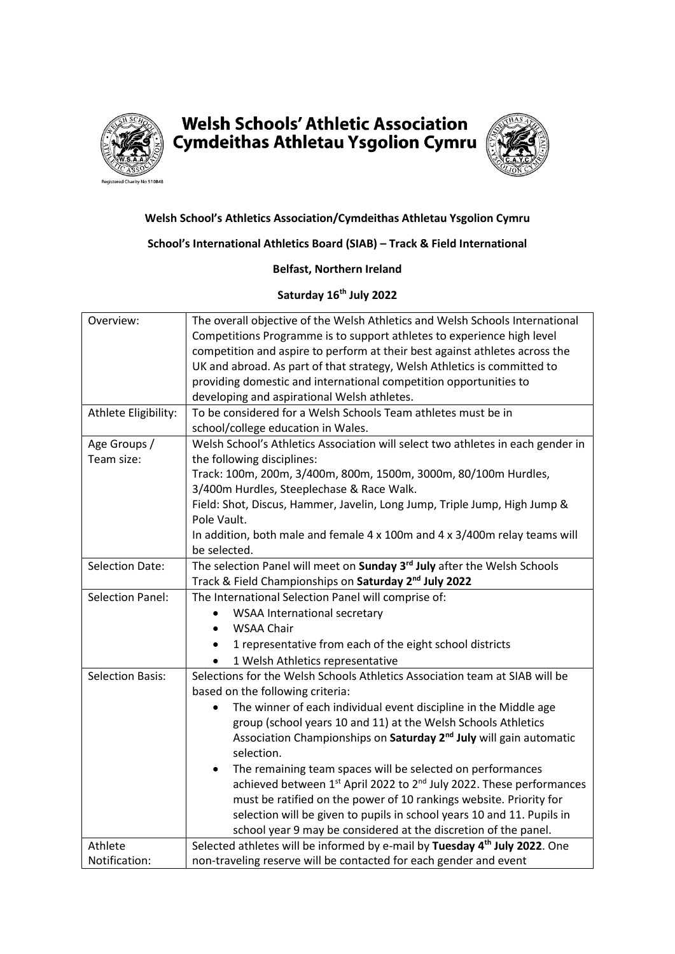

# **Welsh Schools' Athletic Association** Cymdeithas Athletau Ysgolion Cymru



### **Welsh School's Athletics Association/Cymdeithas Athletau Ysgolion Cymru**

#### **School's International Athletics Board (SIAB) – Track & Field International**

#### **Belfast, Northern Ireland**

## **Saturday 16th July 2022**

| Overview:               | The overall objective of the Welsh Athletics and Welsh Schools International                                                                   |
|-------------------------|------------------------------------------------------------------------------------------------------------------------------------------------|
|                         | Competitions Programme is to support athletes to experience high level                                                                         |
|                         | competition and aspire to perform at their best against athletes across the                                                                    |
|                         | UK and abroad. As part of that strategy, Welsh Athletics is committed to                                                                       |
|                         | providing domestic and international competition opportunities to                                                                              |
|                         | developing and aspirational Welsh athletes.                                                                                                    |
| Athlete Eligibility:    | To be considered for a Welsh Schools Team athletes must be in                                                                                  |
|                         | school/college education in Wales.                                                                                                             |
| Age Groups /            | Welsh School's Athletics Association will select two athletes in each gender in                                                                |
| Team size:              | the following disciplines:                                                                                                                     |
|                         | Track: 100m, 200m, 3/400m, 800m, 1500m, 3000m, 80/100m Hurdles,                                                                                |
|                         | 3/400m Hurdles, Steeplechase & Race Walk.                                                                                                      |
|                         | Field: Shot, Discus, Hammer, Javelin, Long Jump, Triple Jump, High Jump &                                                                      |
|                         | Pole Vault.                                                                                                                                    |
|                         | In addition, both male and female $4 \times 100$ m and $4 \times 3/400$ m relay teams will                                                     |
|                         | be selected.                                                                                                                                   |
| <b>Selection Date:</b>  | The selection Panel will meet on Sunday 3rd July after the Welsh Schools                                                                       |
|                         | Track & Field Championships on Saturday 2 <sup>nd</sup> July 2022                                                                              |
| <b>Selection Panel:</b> | The International Selection Panel will comprise of:                                                                                            |
|                         |                                                                                                                                                |
|                         | WSAA International secretary                                                                                                                   |
|                         | <b>WSAA Chair</b><br>$\bullet$                                                                                                                 |
|                         | 1 representative from each of the eight school districts                                                                                       |
|                         | 1 Welsh Athletics representative                                                                                                               |
| <b>Selection Basis:</b> | Selections for the Welsh Schools Athletics Association team at SIAB will be                                                                    |
|                         | based on the following criteria:                                                                                                               |
|                         | The winner of each individual event discipline in the Middle age                                                                               |
|                         | group (school years 10 and 11) at the Welsh Schools Athletics                                                                                  |
|                         |                                                                                                                                                |
|                         | Association Championships on Saturday 2 <sup>nd</sup> July will gain automatic<br>selection.                                                   |
|                         | ٠                                                                                                                                              |
|                         | The remaining team spaces will be selected on performances<br>achieved between 1st April 2022 to 2 <sup>nd</sup> July 2022. These performances |
|                         | must be ratified on the power of 10 rankings website. Priority for                                                                             |
|                         | selection will be given to pupils in school years 10 and 11. Pupils in                                                                         |
|                         | school year 9 may be considered at the discretion of the panel.                                                                                |
| Athlete                 | Selected athletes will be informed by e-mail by Tuesday 4 <sup>th</sup> July 2022. One                                                         |